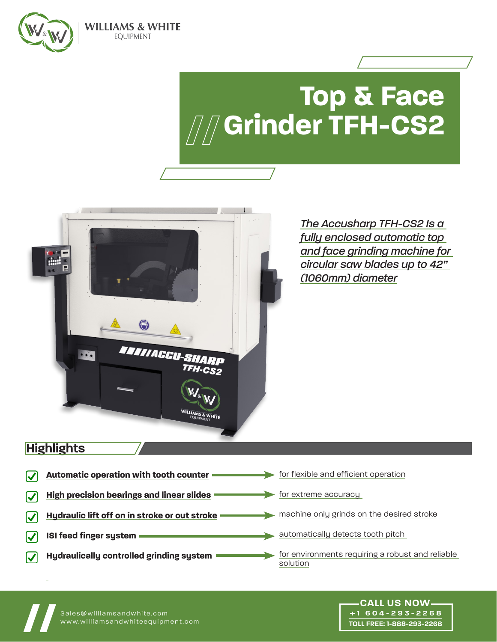

# **Top & Face Grinder TFH-CS2**



**WILLIAMS & WHITE EQUIPMENT** 

> *The Accusharp TFH-CS2 Is a fully enclosed automatic top and face grinding machine for circular saw blades up to 42" (1060mm) diameter*

## **Highlights**

| Automatic operation with tooth counter           | for flexible and efficient operation                         |
|--------------------------------------------------|--------------------------------------------------------------|
| <b>High precision bearings and linear slides</b> | for extreme accuracy                                         |
| Hydraulic lift off on in stroke or out stroke    | machine only grinds on the desired stroke                    |
| ISI feed finger system                           | automatically detects tooth pitch                            |
| <b>Hydraulically controlled grinding system</b>  | for environments requiring a robust and reliable<br>solution |